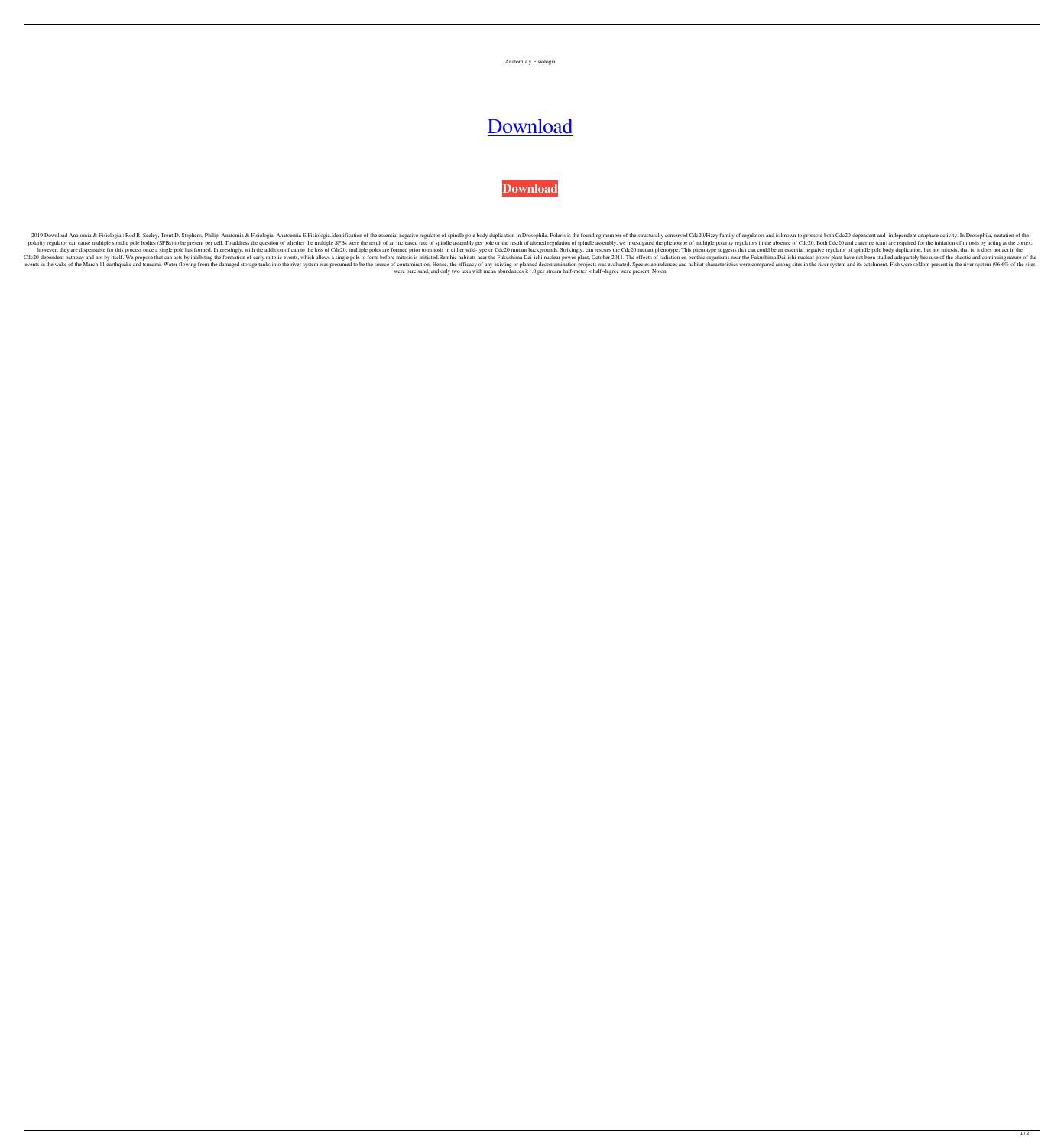

## [Download](https://bltlly.com/2l0vjz)

## **[Download](https://bltlly.com/2l0vjz)**

2019 Download Anatomia & Fisiologia: Rod R. Seeley, Trent D. Stephens, Philip. Anatomia & Fisiologia. Anatomia & Fisiologia. Anatoemia E Fisiologia.Identification of the essential negative regulator of spindle pole body du polarity regulator can cause multiple spindle pole bodies (SPBs) to be present per cell. To address the question of whether the multiple SPBs were the result of an increased rate of spindle assembly, we investigated the ph however, they are dispensable for this process once a single pole has formed. Interestingly, with the addition of can to the loss of Cdc20, multiple poles are formed prior to mitosis in either wild-type or Cdc20 mutant phe Cdc20-dependent pathway and not by itself. We propose that can acts by inhibiting the formation of early mitotic events, which allows a single pole to form before mitosis is initiated.Benthic habitats near the Fukushima Da events in the wake of the March 11 earthquake and tsunami. Water flowing from the damaged storage tanks into the river system was presumed to be the source of contamination. Hence, the efficacy of any existing or planned d were bare sand, and only two taxa with mean abundances ≥1.0 per stream half-meter × half-degree were present: Noton